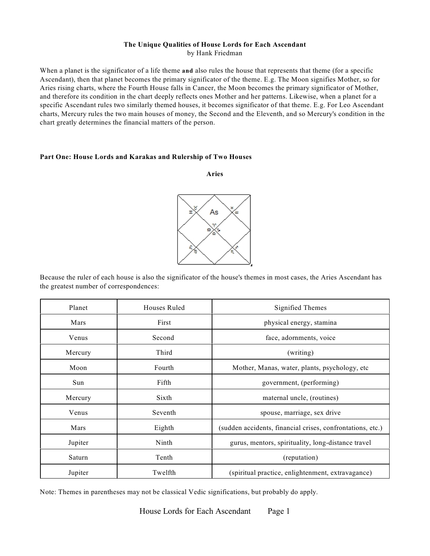### **The Unique Qualities of House Lords for Each Ascendant** by Hank Friedman

When a planet is the significator of a life theme **and** also rules the house that represents that theme (for a specific Ascendant), then that planet becomes the primary significator of the theme. E.g. The Moon signifies Mother, so for Aries rising charts, where the Fourth House falls in Cancer, the Moon becomes the primary significator of Mother, and therefore its condition in the chart deeply reflects ones Mother and her patterns. Likewise, when a planet for a specific Ascendant rules two similarly themed houses, it becomes significator of that theme. E.g. For Leo Ascendant charts, Mercury rules the two main houses of money, the Second and the Eleventh, and so Mercury's condition in the chart greatly determines the financial matters of the person.

### **Part One: House Lords and Karakas and Rulership of Two Houses**

**Aries**



Because the ruler of each house is also the significator of the house's themes in most cases, the Aries Ascendant has the greatest number of correspondences:

| Planet  | Houses Ruled | Signified Themes                                           |
|---------|--------------|------------------------------------------------------------|
| Mars    | First        | physical energy, stamina                                   |
| Venus   | Second       | face, adornments, voice                                    |
| Mercury | Third        | (writing)                                                  |
| Moon    | Fourth       | Mother, Manas, water, plants, psychology, etc              |
| Sun     | Fifth        | government, (performing)                                   |
| Mercury | Sixth        | maternal uncle, (routines)                                 |
| Venus   | Seventh      | spouse, marriage, sex drive                                |
| Mars    | Eighth       | (sudden accidents, financial crises, confrontations, etc.) |
| Jupiter | Ninth        | gurus, mentors, spirituality, long-distance travel         |
| Saturn  | Tenth        | (reputation)                                               |
| Jupiter | Twelfth      | (spiritual practice, enlightenment, extravagance)          |

Note: Themes in parentheses may not be classical Vedic significations, but probably do apply.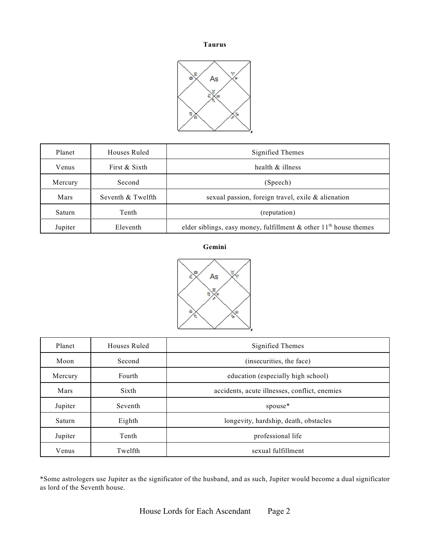#### **Taurus**



| Planet        | Houses Ruled      | Signified Themes                                                                 |
|---------------|-------------------|----------------------------------------------------------------------------------|
| Venus         | First & Sixth     | health $\&$ illness                                                              |
| Mercury       | Second            | (Speech)                                                                         |
| Mars          | Seventh & Twelfth | sexual passion, foreign travel, exile & alienation                               |
| <b>Saturn</b> | Tenth             | (reputation)                                                                     |
| Jupiter       | Eleventh          | elder siblings, easy money, fulfillment $\&$ other 11 <sup>th</sup> house themes |

**Gemini**



| Planet  | Houses Ruled | Signified Themes                              |
|---------|--------------|-----------------------------------------------|
| Moon    | Second       | (insecurities, the face)                      |
| Mercury | Fourth       | education (especially high school)            |
| Mars    | Sixth        | accidents, acute illnesses, conflict, enemies |
| Jupiter | Seventh      | spouse*                                       |
| Saturn  | Eighth       | longevity, hardship, death, obstacles         |
| Jupiter | Tenth        | professional life                             |
| Venus   | Twelfth      | sexual fulfillment                            |

\*Some astrologers use Jupiter as the significator of the husband, and as such, Jupiter would become a dual significator as lord of the Seventh house.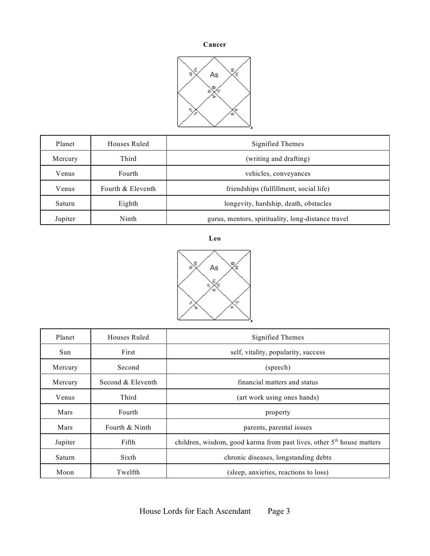### **Cancer**



| Planet  | Houses Ruled      | Signified Themes                                   |
|---------|-------------------|----------------------------------------------------|
| Mercury | Third             | (writing and drafting)                             |
| Venus   | Fourth            | vehicles, conveyances                              |
| Venus   | Fourth & Eleventh | friendships (fulfillment, social life)             |
| Saturn  | Eighth            | longevity, hardship, death, obstacles              |
| Jupiter | Ninth             | gurus, mentors, spirituality, long-distance travel |

**Leo**



| Planet  | Houses Ruled      | Signified Themes                                                        |
|---------|-------------------|-------------------------------------------------------------------------|
| Sun     | First             | self, vitality, popularity, success                                     |
| Mercury | Second            | (speech)                                                                |
| Mercury | Second & Eleventh | financial matters and status                                            |
| Venus   | Third             | (art work using ones hands)                                             |
| Mars    | Fourth            | property                                                                |
| Mars    | Fourth & Ninth    | parents, parental issues                                                |
| Jupiter | Fifth             | children, wisdom, good karma from past lives, other $5th$ house matters |
| Saturn  | Sixth             | chronic diseases, longstanding debts                                    |
| Moon    | Twelfth           | (sleep, anxieties, reactions to loss)                                   |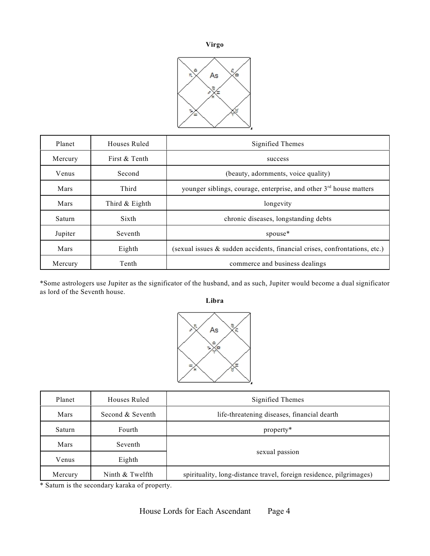



| Planet  | Houses Ruled     | Signified Themes                                                               |
|---------|------------------|--------------------------------------------------------------------------------|
| Mercury | First & Tenth    | success                                                                        |
| Venus   | Second           | (beauty, adornments, voice quality)                                            |
| Mars    | Third            | younger siblings, courage, enterprise, and other 3 <sup>rd</sup> house matters |
| Mars    | Third $&$ Eighth | longevity                                                                      |
| Saturn  | Sixth            | chronic diseases, longstanding debts                                           |
| Jupiter | Seventh          | spouse*                                                                        |
| Mars    | Eighth           | (sexual issues $\&$ sudden accidents, financial crises, confrontations, etc.)  |
| Mercury | Tenth            | commerce and business dealings                                                 |

\*Some astrologers use Jupiter as the significator of the husband, and as such, Jupiter would become a dual significator as lord of the Seventh house.

**Libra**



| Planet  | Houses Ruled     | Signified Themes                                                    |
|---------|------------------|---------------------------------------------------------------------|
| Mars    | Second & Seventh | life-threatening diseases, financial dearth                         |
| Saturn  | Fourth           | property*                                                           |
| Mars    | Seventh          |                                                                     |
| Venus   | Eighth           | sexual passion                                                      |
| Mercury | Ninth & Twelfth  | spirituality, long-distance travel, foreign residence, pilgrimages) |

\* Saturn is the secondary karaka of property.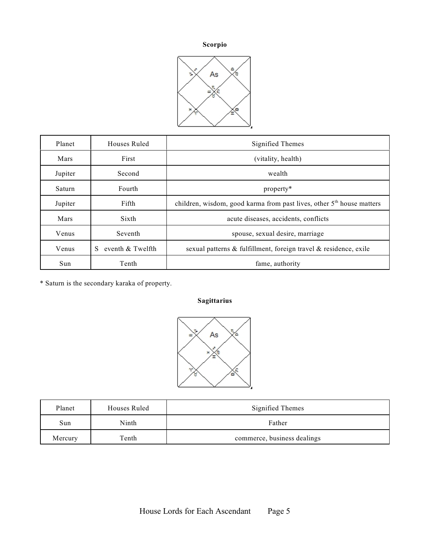## **Scorpio**



| Planet  | Houses Ruled          | Signified Themes                                                        |
|---------|-----------------------|-------------------------------------------------------------------------|
| Mars    | First                 | (vitality, health)                                                      |
| Jupiter | Second                | wealth                                                                  |
| Saturn  | Fourth                | property*                                                               |
| Jupiter | Fifth                 | children, wisdom, good karma from past lives, other $5th$ house matters |
| Mars    | Sixth                 | acute diseases, accidents, conflicts                                    |
| Venus   | Seventh               | spouse, sexual desire, marriage                                         |
| Venus   | eventh & Twelfth<br>S | sexual patterns & fulfillment, foreign travel & residence, exile        |
| Sun     | Tenth                 | fame, authority                                                         |

\* Saturn is the secondary karaka of property.

## **Sagittarius**



| Planet  | Houses Ruled | Signified Themes            |
|---------|--------------|-----------------------------|
| Sun     | Ninth        | Father                      |
| Mercury | Tenth        | commerce, business dealings |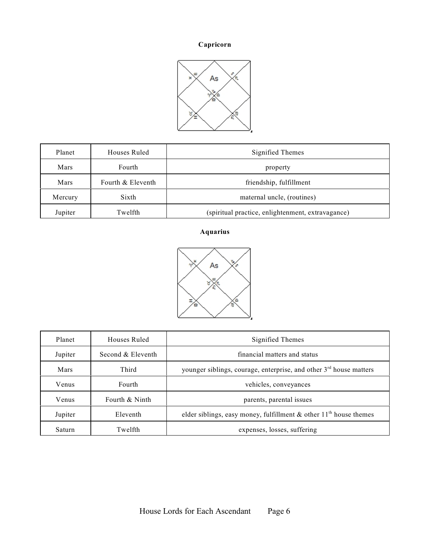# **Capricorn**



| Planet  | Houses Ruled      | Signified Themes                                  |
|---------|-------------------|---------------------------------------------------|
| Mars    | Fourth            | property                                          |
| Mars    | Fourth & Eleventh | friendship, fulfillment                           |
| Mercury | Sixth             | maternal uncle, (routines)                        |
| Jupiter | Twelfth           | (spiritual practice, enlightenment, extravagance) |

## **Aquarius**



| Planet  | Houses Ruled      | Signified Themes                                                                 |
|---------|-------------------|----------------------------------------------------------------------------------|
| Jupiter | Second & Eleventh | financial matters and status                                                     |
| Mars    | Third             | younger siblings, courage, enterprise, and other $3rd$ house matters             |
| Venus   | <b>Fourth</b>     | vehicles, conveyances                                                            |
| Venus   | Fourth & Ninth    | parents, parental issues                                                         |
| Jupiter | Eleventh          | elder siblings, easy money, fulfillment $\&$ other 11 <sup>th</sup> house themes |
| Saturn  | Twelfth           | expenses, losses, suffering                                                      |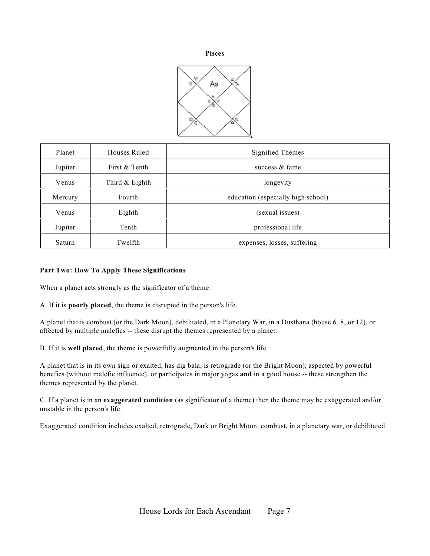



| Planet  | Houses Ruled     | Signified Themes                   |
|---------|------------------|------------------------------------|
| Jupiter | First & Tenth    | success $&$ fame                   |
| Venus   | Third $&$ Eighth | longevity                          |
| Mercury | Fourth           | education (especially high school) |
| Venus   | Eighth           | (sexual issues)                    |
| Jupiter | Tenth            | professional life                  |
| Saturn  | Twelfth          | expenses, losses, suffering        |

### **Part Two: How To Apply These Significations**

When a planet acts strongly as the significator of a theme:

A. If it is **poorly placed**, the theme is disrupted in the person's life.

A planet that is combust (or the Dark Moon), debilitated, in a Planetary War, in a Dusthana (house 6, 8, or 12), or affected by multiple malefics -- these disrupt the themes represented by a planet.

B. If it is **well placed**, the theme is powerfully augmented in the person's life.

A planet that is in its own sign or exalted, has dig bala, is retrograde (or the Bright Moon), aspected by powerful benefics (without malefic influence), or participates in major yogas **and** in a good house -- these strengthen the themes represented by the planet.

C. If a planet is in an **exaggerated condition** (as significator of a theme) then the theme may be exaggerated and/or unstable in the person's life.

Exaggerated condition includes exalted, retrograde, Dark or Bright Moon, combust, in a planetary war, or debilitated.